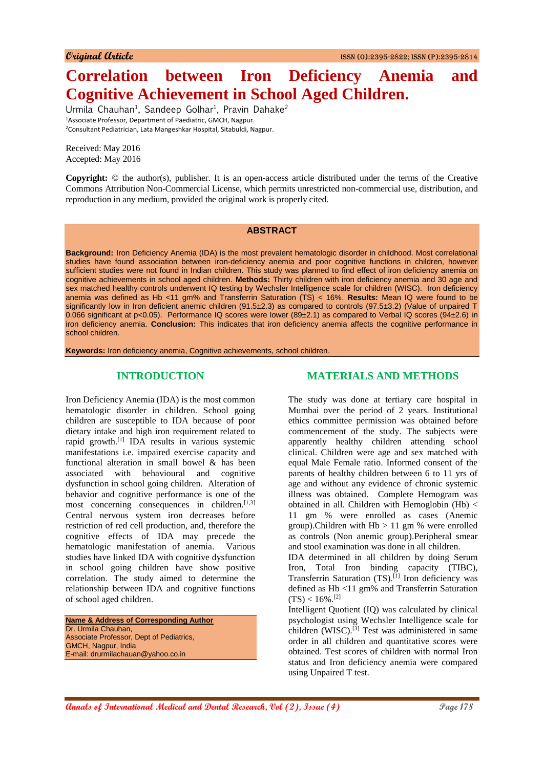# **Correlation between Iron Deficiency Anemia and Cognitive Achievement in School Aged Children.**

Urmila Chauhan<sup>1</sup>, Sandeep Golhar<sup>1</sup>, Pravin Dahake<sup>2</sup> <sup>1</sup>Associate Professor, Department of Paediatric, GMCH, Nagpur. <sup>2</sup>Consultant Pediatrician, Lata Mangeshkar Hospital, Sitabuldi, Nagpur.

Received: May 2016 Accepted: May 2016

**Copyright:** © the author(s), publisher. It is an open-access article distributed under the terms of the Creative Commons Attribution Non-Commercial License, which permits unrestricted non-commercial use, distribution, and reproduction in any medium, provided the original work is properly cited.

### **ABSTRACT**

**Background:** Iron Deficiency Anemia (IDA) is the most prevalent hematologic disorder in childhood. Most correlational studies have found association between iron-deficiency anemia and poor cognitive functions in children, however sufficient studies were not found in Indian children. This study was planned to find effect of iron deficiency anemia on cognitive achievements in school aged children. **Methods:** Thirty children with iron deficiency anemia and 30 age and sex matched healthy controls underwent IQ testing by Wechsler Intelligence scale for children (WISC). Iron deficiency anemia was defined as Hb <11 gm% and Transferrin Saturation (TS) < 16%. **Results:** Mean IQ were found to be significantly low in Iron deficient anemic children (91.5±2.3) as compared to controls (97.5±3.2) (Value of unpaired T 0.066 significant at p<0.05). Performance IQ scores were lower (89±2.1) as compared to Verbal IQ scores (94±2.6) in iron deficiency anemia. **Conclusion:** This indicates that iron deficiency anemia affects the cognitive performance in school children.

**Keywords:** Iron deficiency anemia, Cognitive achievements, school children.

# **INTRODUCTION**

Iron Deficiency Anemia (IDA) is the most common hematologic disorder in children. School going children are susceptible to IDA because of poor dietary intake and high iron requirement related to rapid growth.[1] IDA results in various systemic manifestations i.e. impaired exercise capacity and functional alteration in small bowel & has been associated with behavioural and cognitive dysfunction in school going children. Alteration of behavior and cognitive performance is one of the most concerning consequences in children. $[1,3]$ Central nervous system iron decreases before restriction of red cell production, and, therefore the cognitive effects of IDA may precede the hematologic manifestation of anemia. Various studies have linked IDA with cognitive dysfunction in school going children have show positive correlation. The study aimed to determine the relationship between IDA and cognitive functions of school aged children.

**Name & Address of Corresponding Author** Dr. Urmila Chauhan, Associate Professor, Dept of Pediatrics, GMCH, Nagpur, India E-mail: drurmilachauan@yahoo.co.in

# **MATERIALS AND METHODS**

The study was done at tertiary care hospital in Mumbai over the period of 2 years. Institutional ethics committee permission was obtained before commencement of the study. The subjects were apparently healthy children attending school clinical. Children were age and sex matched with equal Male Female ratio. Informed consent of the parents of healthy children between 6 to 11 yrs of age and without any evidence of chronic systemic illness was obtained. Complete Hemogram was obtained in all. Children with Hemoglobin  $(Hb)$  < 11 gm % were enrolled as cases (Anemic group).Children with  $Hb > 11$  gm % were enrolled as controls (Non anemic group).Peripheral smear and stool examination was done in all children.

IDA determined in all children by doing Serum Iron, Total Iron binding capacity (TIBC), Transferrin Saturation (TS).<sup>[1]</sup> Iron deficiency was defined as Hb <11 gm% and Transferrin Saturation  $(TS) < 16\%$ <sup>[2]</sup>

Intelligent Quotient (IQ) was calculated by clinical psychologist using Wechsler Intelligence scale for children (WISC).<sup>[3]</sup> Test was administered in same order in all children and quantitative scores were obtained. Test scores of children with normal Iron status and Iron deficiency anemia were compared using Unpaired T test.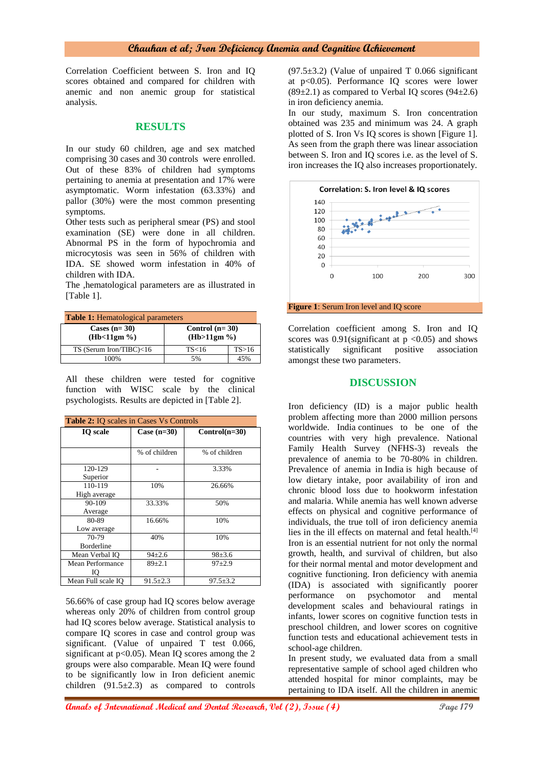## **Chauhan et al; Iron Deficiency Anemia and Cognitive Achievement**

Correlation Coefficient between S. Iron and IQ scores obtained and compared for children with anemic and non anemic group for statistical analysis.

#### **RESULTS**

In our study 60 children, age and sex matched comprising 30 cases and 30 controls were enrolled. Out of these 83% of children had symptoms pertaining to anemia at presentation and 17% were asymptomatic. Worm infestation (63.33%) and pallor (30%) were the most common presenting symptoms.

Other tests such as peripheral smear (PS) and stool examination (SE) were done in all children. Abnormal PS in the form of hypochromia and microcytosis was seen in 56% of children with IDA. SE showed worm infestation in 40% of children with IDA.

The ,hematological parameters are as illustrated in [Table 1].

| <b>Table 1:</b> Hematological parameters |                                 |       |  |
|------------------------------------------|---------------------------------|-------|--|
| Cases $(n=30)$<br>(Hb<11gm %)            | Control $(n=30)$<br>(Hb>11gm %) |       |  |
| $TS$ (Serum Iron/TIBC)<16                | TS<16                           | TS>16 |  |
| 100%                                     | 5%                              | 45%   |  |

All these children were tested for cognitive function with WISC scale by the clinical psychologists. Results are depicted in [Table 2].

| <b>Table 2:</b> IO scales in Cases Vs Controls |                |                 |
|------------------------------------------------|----------------|-----------------|
| <b>IO</b> scale                                | Case $(n=30)$  | $Control(n=30)$ |
|                                                |                |                 |
|                                                | % of children  | % of children   |
| 120-129                                        |                | 3.33%           |
| Superior                                       |                |                 |
| 110-119                                        | 10%            | 26.66%          |
| High average                                   |                |                 |
| 90-109                                         | 33.33%         | 50%             |
| Average                                        |                |                 |
| 80-89                                          | 16.66%         | 10%             |
| Low average                                    |                |                 |
| 70-79                                          | 40%            | 10%             |
| Borderline                                     |                |                 |
| Mean Verbal IO                                 | $94{\pm}2.6$   | $98 \pm 3.6$    |
| <b>Mean Performance</b>                        | $89+2.1$       | $97 + 2.9$      |
| Ю                                              |                |                 |
| Mean Full scale IO                             | $91.5 \pm 2.3$ | $97.5 \pm 3.2$  |

56.66% of case group had IQ scores below average whereas only 20% of children from control group had IQ scores below average. Statistical analysis to compare IQ scores in case and control group was significant. (Value of unpaired T test 0.066, significant at  $p<0.05$ ). Mean IQ scores among the 2 groups were also comparable. Mean IQ were found to be significantly low in Iron deficient anemic children  $(91.5\pm 2.3)$  as compared to controls  $(97.5\pm3.2)$  (Value of unpaired T 0.066 significant at p<0.05). Performance IQ scores were lower  $(89\pm2.1)$  as compared to Verbal IQ scores  $(94\pm2.6)$ in iron deficiency anemia.

In our study, maximum S. Iron concentration obtained was 235 and minimum was 24. A graph plotted of S. Iron Vs IQ scores is shown [Figure 1]. As seen from the graph there was linear association between S. Iron and IQ scores i.e. as the level of S. iron increases the IQ also increases proportionately.



Correlation coefficient among S. Iron and IQ scores was  $0.91$ (significant at  $p \le 0.05$ ) and shows statistically significant positive association amongst these two parameters.

#### **DISCUSSION**

Iron deficiency (ID) is a major public health problem affecting more than 2000 million persons worldwide. India continues to be one of the countries with very high prevalence. National Family Health Survey (NFHS-3) reveals the prevalence of anemia to be 70-80% in children. Prevalence of anemia in India is high because of low dietary intake, poor availability of iron and chronic blood loss due to hookworm infestation and malaria. While anemia has well known adverse effects on physical and cognitive performance of individuals, the true toll of iron deficiency anemia lies in the ill effects on maternal and fetal health.<sup>[4]</sup> Iron is an essential nutrient for not only the normal growth, health, and survival of children, but also for their normal mental and motor development and cognitive functioning. Iron deficiency with anemia (IDA) is associated with significantly poorer performance on psychomotor and mental development scales and behavioural ratings in infants, lower scores on cognitive function tests in preschool children, and lower scores on cognitive function tests and educational achievement tests in school-age children.

In present study, we evaluated data from a small representative sample of school aged children who attended hospital for minor complaints, may be pertaining to IDA itself. All the children in anemic